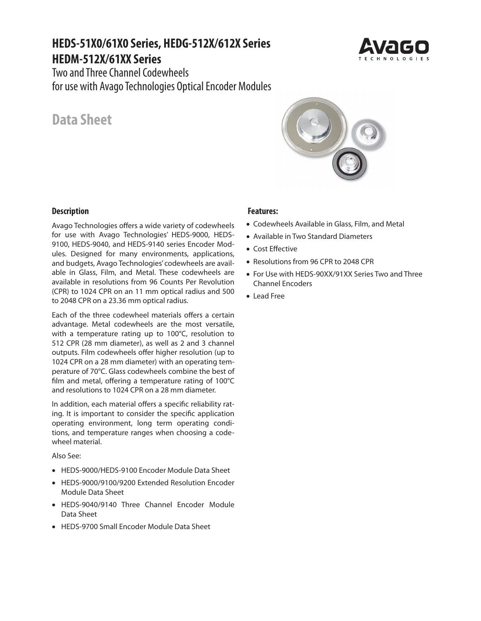# **HEDS-51X0/61X0 Series, HEDG-512X/612X Series HEDM-512X/61XX Series**

Two and Three Channel Codewheels for use with Avago Technologies Optical Encoder Modules

# **Data Sheet**

# **Features:**

- Codewheels Available in Glass, Film, and Metal
- Available in Two Standard Diameters
- Cost Effective
- Resolutions from 96 CPR to 2048 CPR
- For Use with HEDS-90XX/91XX Series Two and Three Channel Encoders
- Lead Free

### **Description**

Avago Technologies offers a wide variety of codewheels for use with Avago Technologies' HEDS-9000, HEDS-9100, HEDS-9040, and HEDS-9140 series Encoder Modules. Designed for many environments, applications, and budgets, Avago Technologies' codewheels are available in Glass, Film, and Metal. These codewheels are available in resolutions from 96 Counts Per Revolution (CPR) to 1024 CPR on an 11 mm optical radius and 500 to 2048 CPR on a 23.36 mm optical radius.

Each of the three codewheel materials offers a certain advantage. Metal codewheels are the most versatile, with a temperature rating up to 100°C, resolution to 512 CPR (28 mm diameter), as well as 2 and 3 channel outputs. Film codewheels offer higher resolution (up to 1024 CPR on a 28 mm diameter) with an operating temperature of 70°C. Glass codewheels combine the best of film and metal, offering a temperature rating of 100°C and resolutions to 1024 CPR on a 28 mm diameter.

In addition, each material offers a specific reliability rating. It is important to consider the specific application operating environment, long term operating conditions, and temperature ranges when choosing a codewheel material.

Also See:

- HEDS-9000/HEDS-9100 Encoder Module Data Sheet
- HEDS-9000/9100/9200 Extended Resolution Encoder Module Data Sheet
- HEDS-9040/9140 Three Channel Encoder Module Data Sheet
- HEDS-9700 Small Encoder Module Data Sheet



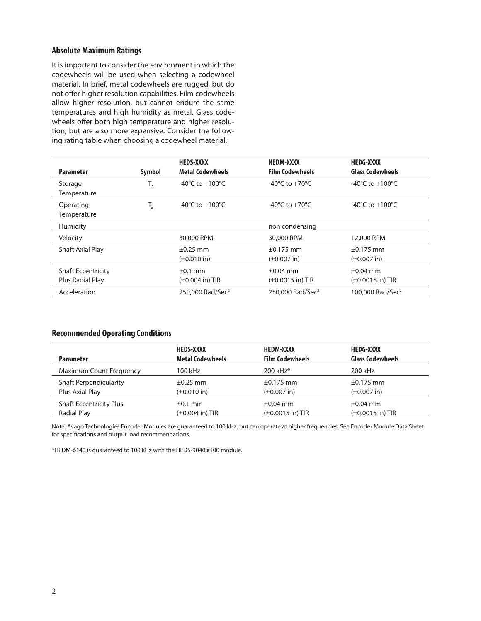### **Absolute Maximum Ratings**

It is important to consider the environment in which the codewheels will be used when selecting a codewheel material. In brief, metal codewheels are rugged, but do not offer higher resolution capabilities. Film codewheels allow higher resolution, but cannot endure the same temperatures and high humidity as metal. Glass codewheels offer both high temperature and higher resolution, but are also more expensive. Consider the following rating table when choosing a codewheel material.

| <b>Parameter</b>                                     | Symbol          | <b>HEDS-XXXX</b><br><b>Metal Codewheels</b>  | <b>HEDM-XXXX</b><br><b>Film Codewheels</b>     | <b>HEDG-XXXX</b><br><b>Glass Codewheels</b>    |
|------------------------------------------------------|-----------------|----------------------------------------------|------------------------------------------------|------------------------------------------------|
| Storage<br>Temperature                               | $T_{\varsigma}$ | -40°C to $+100$ °C                           | -40 $^{\circ}$ C to +70 $^{\circ}$ C           | -40°C to +100°C                                |
| Operating<br>Temperature                             |                 | -40 $^{\circ}$ C to +100 $^{\circ}$ C        | -40 $\degree$ C to +70 $\degree$ C             | -40°C to +100°C                                |
| Humidity                                             |                 |                                              | non condensing                                 |                                                |
| Velocity                                             |                 | 30,000 RPM                                   | 30,000 RPM                                     | 12,000 RPM                                     |
| Shaft Axial Play                                     |                 | $\pm 0.25$ mm<br>$(\pm 0.010 \text{ in})$    | $\pm 0.175$ mm<br>$(\pm 0.007)$ in             | $±0.175$ mm<br>$(\pm 0.007)$ in                |
| <b>Shaft Eccentricity</b><br><b>Plus Radial Play</b> |                 | $\pm 0.1$ mm<br>$(\pm 0.004 \text{ in})$ TIR | $\pm 0.04$ mm<br>$(\pm 0.0015 \text{ in})$ TIR | $\pm 0.04$ mm<br>$(\pm 0.0015 \text{ in})$ TIR |
| Acceleration                                         |                 | 250,000 Rad/Sec <sup>2</sup>                 | 250,000 Rad/Sec <sup>2</sup>                   | 100,000 Rad/Sec <sup>2</sup>                   |

### **Recommended Operating Conditions**

|                                | <b>HEDS-XXXX</b>             | <b>HEDM-XXXX</b>       | <b>HEDG-XXXX</b>        |  |
|--------------------------------|------------------------------|------------------------|-------------------------|--|
| <b>Parameter</b>               | <b>Metal Codewheels</b>      | <b>Film Codewheels</b> | <b>Glass Codewheels</b> |  |
| <b>Maximum Count Frequency</b> | 100 kHz                      | 200 kHz*               | 200 kHz                 |  |
| <b>Shaft Perpendicularity</b>  | $\pm 0.25$ mm                | $\pm 0.175$ mm         | $\pm 0.175$ mm          |  |
| Plus Axial Play                | $(\pm 0.010)$ in             | $(\pm 0.007)$ in)      | $(\pm 0.007)$ in        |  |
| <b>Shaft Eccentricity Plus</b> | $\pm 0.1$ mm                 | $\pm 0.04$ mm          | $\pm 0.04$ mm           |  |
| Radial Play                    | $(\pm 0.004 \text{ in})$ TIR | $(\pm 0.0015$ in) TIR  | $(\pm 0.0015$ in) TIR   |  |
|                                |                              |                        |                         |  |

Note: Avago Technologies Encoder Modules are guaranteed to 100 kHz, but can operate at higher frequencies. See Encoder Module Data Sheet for specifications and output load recommendations.

\*HEDM-6140 is guaranteed to 100 kHz with the HEDS-9040 #T00 module.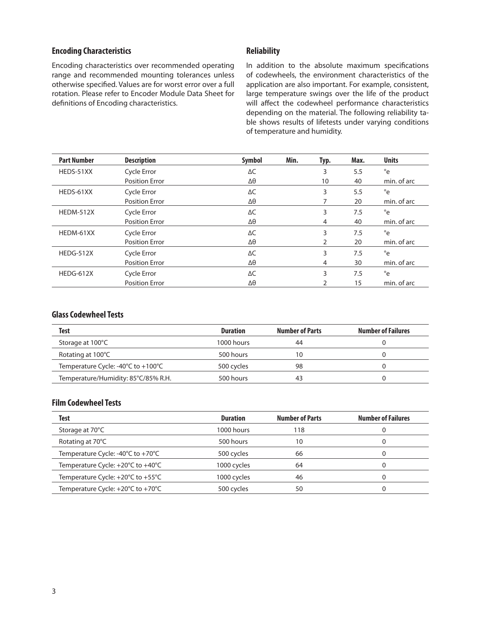#### **Encoding Characteristics**

Encoding characteristics over recommended operating range and recommended mounting tolerances unless otherwise specified. Values are for worst error over a full rotation. Please refer to Encoder Module Data Sheet for definitions of Encoding characteristics.

#### **Reliability**

In addition to the absolute maximum specifications of codewheels, the environment characteristics of the application are also important. For example, consistent, large temperature swings over the life of the product will affect the codewheel performance characteristics depending on the material. The following reliability table shows results of lifetests under varying conditions of temperature and humidity.

| <b>Part Number</b> | <b>Description</b>    | Symbol     | Min. | Typ. | Max. | <b>Units</b> |
|--------------------|-----------------------|------------|------|------|------|--------------|
| HEDS-51XX          | Cycle Error           | ΔС         |      | 3    | 5.5  | °e           |
|                    | <b>Position Error</b> | Δθ         |      | 10   | 40   | min. of arc  |
| HEDS-61XX          | Cycle Error           | $\Delta C$ |      | 3    | 5.5  | °e           |
|                    | <b>Position Error</b> | Δθ         |      |      | 20   | min. of arc  |
| <b>HEDM-512X</b>   | Cycle Error           | $\Delta C$ |      | 3    | 7.5  | °e           |
|                    | <b>Position Error</b> | Δθ         |      | 4    | 40   | min. of arc  |
| HEDM-61XX          | Cycle Error           | $\Delta C$ |      | 3    | 7.5  | °e           |
|                    | <b>Position Error</b> | Δθ         |      | 2    | 20   | min. of arc  |
| <b>HEDG-512X</b>   | Cycle Error           | $\Delta C$ |      | 3    | 7.5  | °e           |
|                    | <b>Position Error</b> | Δθ         |      | 4    | 30   | min. of arc  |
| HEDG-612X          | Cycle Error           | ΔC         |      | 3    | 7.5  | °e           |
|                    | <b>Position Error</b> | Δθ         |      |      | 15   | min. of arc  |

# **Glass Codewheel Tests**

| <b>Test</b>                         | <b>Duration</b> | <b>Number of Parts</b> | <b>Number of Failures</b> |
|-------------------------------------|-----------------|------------------------|---------------------------|
| Storage at 100°C                    | $1000$ hours    | 44                     |                           |
| Rotating at 100°C                   | 500 hours       | 10                     |                           |
| Temperature Cycle: -40°C to +100°C  | 500 cycles      | 98                     |                           |
| Temperature/Humidity: 85°C/85% R.H. | 500 hours       | 43                     |                           |

# **Film Codewheel Tests**

| Test                              | <b>Duration</b> | <b>Number of Parts</b> | <b>Number of Failures</b> |
|-----------------------------------|-----------------|------------------------|---------------------------|
| Storage at 70°C                   | 1000 hours      | 118                    |                           |
| Rotating at 70°C                  | 500 hours       | 10                     |                           |
| Temperature Cycle: -40°C to +70°C | 500 cycles      | 66                     |                           |
| Temperature Cycle: +20°C to +40°C | 1000 cycles     | 64                     |                           |
| Temperature Cycle: +20°C to +55°C | 1000 cycles     | 46                     |                           |
| Temperature Cycle: +20°C to +70°C | 500 cycles      | 50                     |                           |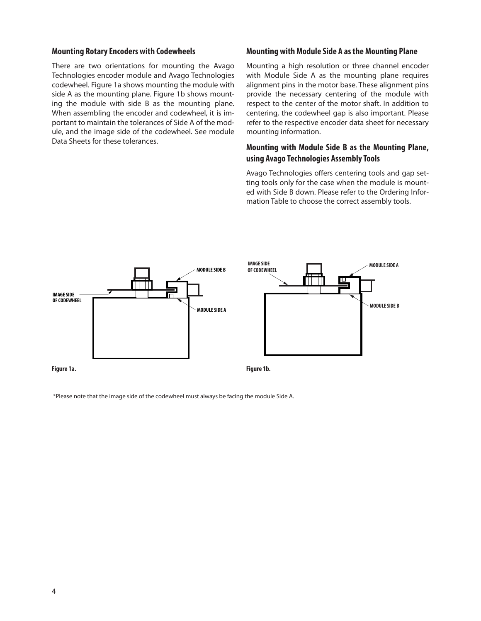#### **Mounting Rotary Encoders with Codewheels**

There are two orientations for mounting the Avago Technologies encoder module and Avago Technologies codewheel. Figure 1a shows mounting the module with side A as the mounting plane. Figure 1b shows mounting the module with side B as the mounting plane. When assembling the encoder and codewheel, it is important to maintain the tolerances of Side A of the module, and the image side of the codewheel. See module Data Sheets for these tolerances.

#### **Mounting with Module Side A as the Mounting Plane**

Mounting a high resolution or three channel encoder with Module Side A as the mounting plane requires alignment pins in the motor base. These alignment pins provide the necessary centering of the module with respect to the center of the motor shaft. In addition to centering, the codewheel gap is also important. Please refer to the respective encoder data sheet for necessary mounting information.

# **Mounting with Module Side B as the Mounting Plane, using Avago Technologies Assembly Tools**

Avago Technologies offers centering tools and gap setting tools only for the case when the module is mounted with Side B down. Please refer to the Ordering Information Table to choose the correct assembly tools.



\*Please note that the image side of the codewheel must always be facing the module Side A.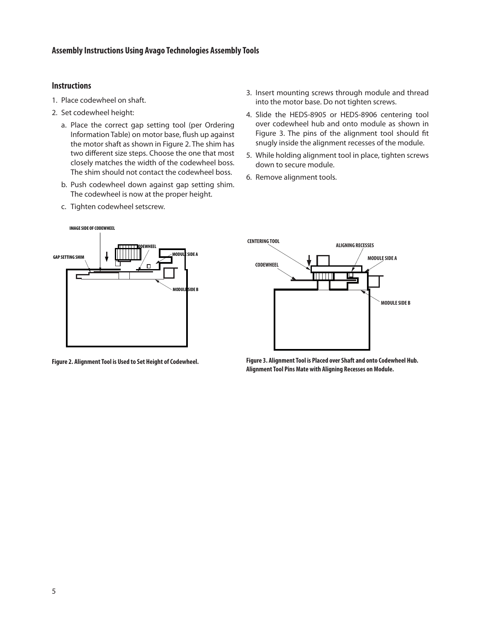#### **Instructions**

- 1. Place codewheel on shaft.
- 2. Set codewheel height:
	- a. Place the correct gap setting tool (per Ordering Information Table) on motor base, flush up against the motor shaft as shown in Figure 2. The shim has two different size steps. Choose the one that most closely matches the width of the codewheel boss. The shim should not contact the codewheel boss.
	- b. Push codewheel down against gap setting shim. The codewheel is now at the proper height.
	- c. Tighten codewheel setscrew.
- 3. Insert mounting screws through module and thread into the motor base. Do not tighten screws.
- 4. Slide the HEDS-8905 or HEDS-8906 centering tool over codewheel hub and onto module as shown in Figure 3. The pins of the alignment tool should fit snugly inside the alignment recesses of the module.
- 5. While holding alignment tool in place, tighten screws down to secure module.
- 6. Remove alignment tools.



**Figure 2. Alignment Tool is Used to Set Height of Codewheel.**



**Figure 3. Alignment Tool is Placed over Shaft and onto Codewheel Hub. Alignment Tool Pins Mate with Aligning Recesses on Module.**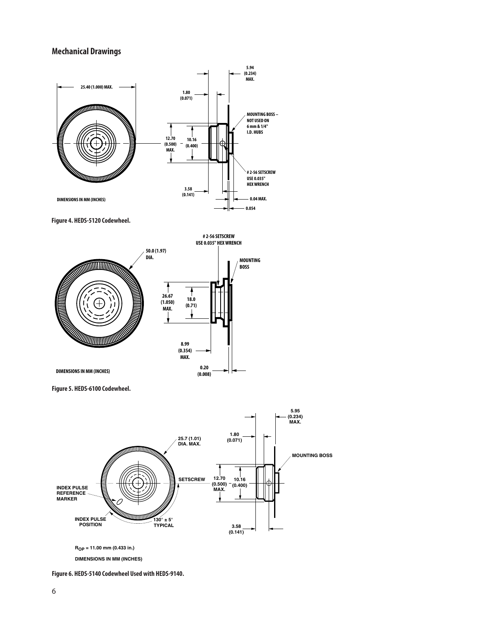# **Mechanical Drawings**



**Figure 4. HEDS-5120 Codewheel.**



**Figure 5. HEDS-6100 Codewheel.**



**DIMENSIONS IN MM (INCHES)**

**Figure 6. HEDS-5140 Codewheel Used with HEDS-9140.**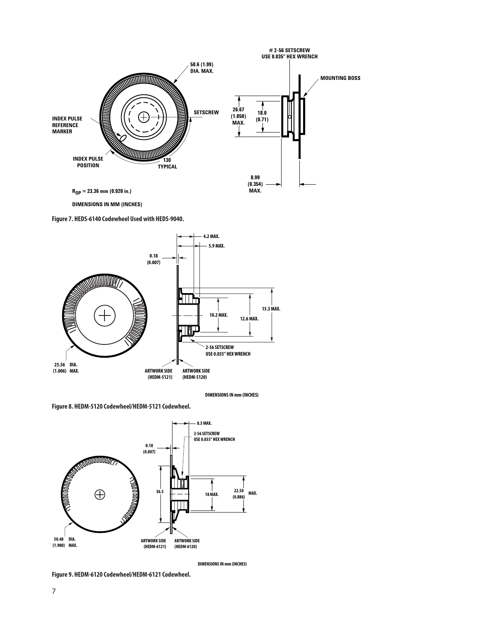

**DIMENSIONS IN MM (INCHES)**

**Figure 7. HEDS-6140 Codewheel Used with HEDS-9040.**



**DIMENSIONSINmm(INCHES)**

**Figure 8. HEDM-5120 Codewheel/HEDM-5121 Codewheel.**



**DIMENSIONSINmm(INCHES)**

**Figure 9. HEDM-6120 Codewheel/HEDM-6121 Codewheel.**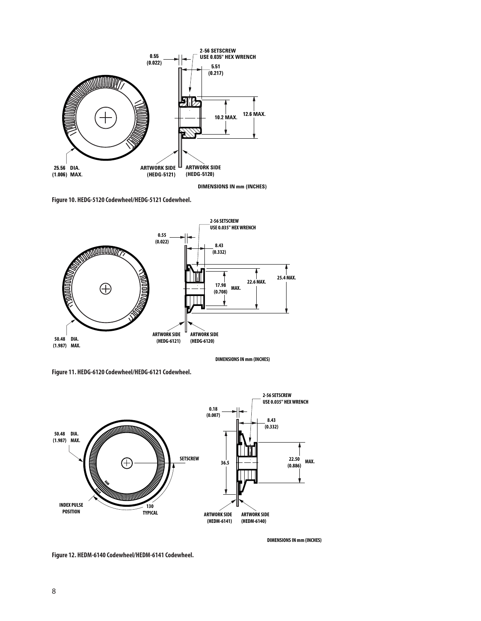

**DIMENSIONS IN mm (INCHES)**

**Figure 10. HEDG-5120 Codewheel/HEDG-5121 Codewheel.**



**DIMENSIONSINmm(INCHES)**

**Figure 11. HEDG-6120 Codewheel/HEDG-6121 Codewheel.**



**DIMENSIONS IN mm (INCHES)** 

**Figure 12. HEDM-6140 Codewheel/HEDM-6141 Codewheel.**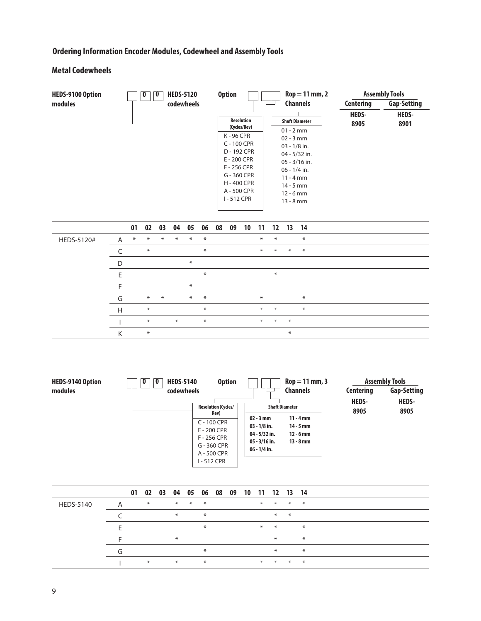# **Ordering Information Encoder Modules, Codewheel and Assembly Tools**

# **Metal Codewheels**

| <b>HEDS-9100 Option</b> | <b>HEDS-5120</b><br>0 | <b>Option</b>                                                                                                                                                             | $\text{Rop} = 11 \text{ mm}, 2$                                                                                                                                                                            |                                   | <b>Assembly Tools</b>                      |
|-------------------------|-----------------------|---------------------------------------------------------------------------------------------------------------------------------------------------------------------------|------------------------------------------------------------------------------------------------------------------------------------------------------------------------------------------------------------|-----------------------------------|--------------------------------------------|
| modules                 | codewheels            | <b>Resolution</b><br>(Cycles/Rev)<br>K - 96 CPR<br>C - 100 CPR<br>D - 192 CPR<br>E - 200 CPR<br>F - 256 CPR<br>G - 360 CPR<br>H - 400 CPR<br>A - 500 CPR<br>$I - 512$ CPR | <b>Channels</b><br><b>Shaft Diameter</b><br>$01 - 2$ mm<br>$02 - 3$ mm<br>$03 - 1/8$ in.<br>04 - 5/32 in.<br>$05 - 3/16$ in.<br>$06 - 1/4$ in.<br>$11 - 4$ mm<br>$14 - 5$ mm<br>$12 - 6$ mm<br>$13 - 8$ mm | Centering<br><b>HEDS-</b><br>8905 | <b>Gap-Setting</b><br><b>HEDS-</b><br>8901 |

|            |   | 01  | 02     |        | 03 04 05 06 08 09 |        |        |  | 10 | -11    | 12 13 14 |        |        |
|------------|---|-----|--------|--------|-------------------|--------|--------|--|----|--------|----------|--------|--------|
| HEDS-5120# | A | $*$ | $*$    | $\ast$ | $*$               | $*$    | $*$    |  |    | $\ast$ | $*$      |        | $\ast$ |
|            |   |     | $\ast$ |        |                   |        | $\ast$ |  |    | $*$    | $*$      | $*$    | $\ast$ |
|            | D |     |        |        |                   | $\ast$ |        |  |    |        |          |        |        |
|            |   |     |        |        |                   |        | $\ast$ |  |    |        | $\ast$   |        |        |
|            |   |     |        |        |                   | $\ast$ |        |  |    |        |          |        |        |
|            | G |     | $\ast$ | $*$    |                   | $*$    | $\ast$ |  |    | $\ast$ |          |        | $\ast$ |
|            | H |     | $*$    |        |                   |        | $\ast$ |  |    | $*$    | $*$      |        | $\ast$ |
|            |   |     | $*$    |        | $*$               |        | $*$    |  |    | $\ast$ | $*$      | $*$    |        |
|            | K |     | $*$    |        |                   |        |        |  |    |        |          | $\ast$ |        |

| HEDS-9140 Option | <b>HEDS-5140</b><br>0<br>0 | <b>Option</b>                                                                                  |                                                                                       | $Rop = 11$ mm, 3                                         |                                          | <b>Assembly Tools</b>                      |
|------------------|----------------------------|------------------------------------------------------------------------------------------------|---------------------------------------------------------------------------------------|----------------------------------------------------------|------------------------------------------|--------------------------------------------|
| modules          | codewheels                 | <b>Resolution (Cycles/</b>                                                                     |                                                                                       | <b>Channels</b><br><b>Shaft Diameter</b>                 | <b>Centering</b><br><b>HEDS-</b><br>8905 | <b>Gap-Setting</b><br><b>HEDS-</b><br>8905 |
|                  |                            | Rev)<br>C - 100 CPR<br>E - 200 CPR<br>F - 256 CPR<br>G - 360 CPR<br>A - 500 CPR<br>I - 512 CPR | $02 - 3$ mm<br>$03 - 1/8$ in.<br>$04 - 5/32$ in.<br>$05 - 3/16$ in.<br>$06 - 1/4$ in. | $11 - 4$ mm<br>$14 - 5$ mm<br>$12 - 6$ mm<br>$13 - 8$ mm |                                          |                                            |

|                  |   |     | 01 02 03 04 05 06 08 09 10 11 12 13 14 |     |     |  |     |     |     |     |
|------------------|---|-----|----------------------------------------|-----|-----|--|-----|-----|-----|-----|
| <b>HEDS-5140</b> | A | $*$ | $*$                                    | $*$ | $*$ |  | $*$ | $*$ | $*$ | $*$ |
|                  |   |     | $*$                                    |     | $*$ |  |     | $*$ | $*$ |     |
|                  |   |     |                                        |     | $*$ |  | $*$ | $*$ |     | $*$ |
|                  |   |     | $\ast$                                 |     |     |  |     | $*$ |     | $*$ |
|                  |   |     |                                        |     | $*$ |  |     | $*$ |     | $*$ |
|                  |   | $*$ | $*$                                    |     | $*$ |  | $*$ | $*$ | $*$ | $*$ |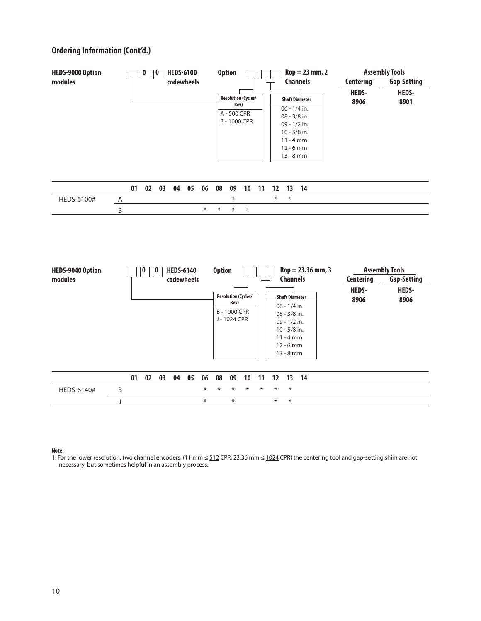

#### **Note:**

1. For the lower resolution, two channel encoders, (11 mm ≤ 512 CPR; 23.36 mm ≤ 1024 CPR) the centering tool and gap-setting shim are not necessary, but sometimes helpful in an assembly process.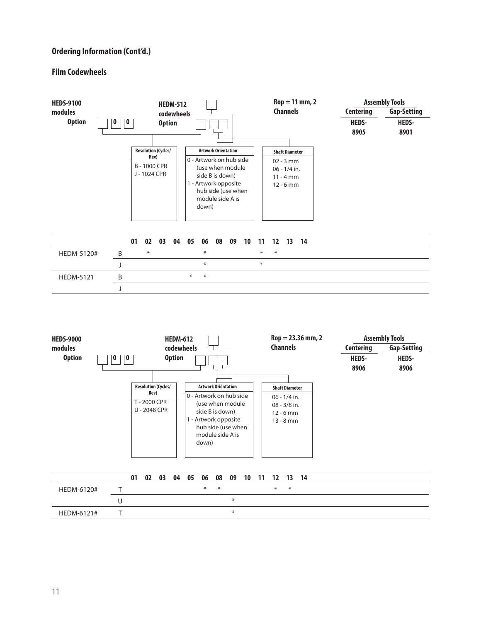#### **Film Codewheels**

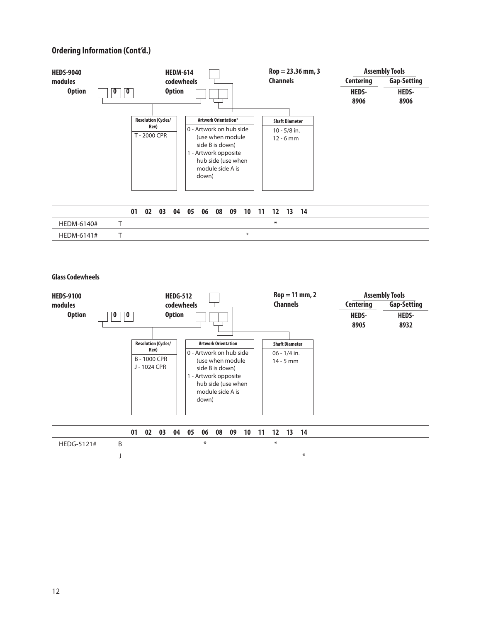

**Glass Codewheels**